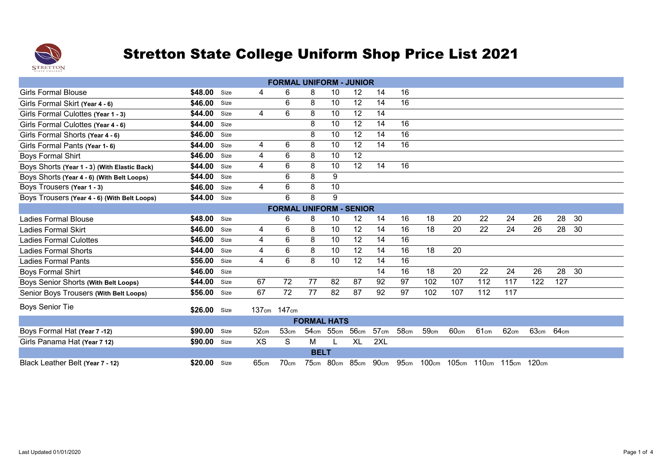

| <b>FORMAL UNIFORM - JUNIOR</b>               |         |      |             |                                |                    |      |           |      |      |                                                        |      |      |      |      |                  |    |
|----------------------------------------------|---------|------|-------------|--------------------------------|--------------------|------|-----------|------|------|--------------------------------------------------------|------|------|------|------|------------------|----|
| <b>Girls Formal Blouse</b>                   | \$48.00 | Size | 4           | 6                              | 8                  | 10   | 12        | 14   | 16   |                                                        |      |      |      |      |                  |    |
| Girls Formal Skirt (Year 4 - 6)              | \$46.00 | Size |             | 6                              | 8                  | 10   | 12        | 14   | 16   |                                                        |      |      |      |      |                  |    |
| Girls Formal Culottes (Year 1 - 3)           | \$44.00 | Size | 4           | 6                              | 8                  | 10   | 12        | 14   |      |                                                        |      |      |      |      |                  |    |
| Girls Formal Culottes (Year 4 - 6)           | \$44.00 | Size |             |                                | 8                  | 10   | 12        | 14   | 16   |                                                        |      |      |      |      |                  |    |
| Girls Formal Shorts (Year 4 - 6)             | \$46.00 | Size |             |                                | 8                  | 10   | 12        | 14   | 16   |                                                        |      |      |      |      |                  |    |
| Girls Formal Pants (Year 1-6)                | \$44.00 | Size | 4           | 6                              | 8                  | 10   | 12        | 14   | 16   |                                                        |      |      |      |      |                  |    |
| <b>Boys Formal Shirt</b>                     | \$46.00 | Size | 4           | 6                              | 8                  | 10   | 12        |      |      |                                                        |      |      |      |      |                  |    |
| Boys Shorts (Year 1 - 3) (With Elastic Back) | \$44.00 | Size | 4           | 6                              | 8                  | 10   | 12        | 14   | 16   |                                                        |      |      |      |      |                  |    |
| Boys Shorts (Year 4 - 6) (With Belt Loops)   | \$44.00 | Size |             | 6                              | 8                  | 9    |           |      |      |                                                        |      |      |      |      |                  |    |
| Boys Trousers (Year 1 - 3)                   | \$46.00 | Size | 4           | 6                              | 8                  | 10   |           |      |      |                                                        |      |      |      |      |                  |    |
| Boys Trousers (Year 4 - 6) (With Belt Loops) | \$44.00 | Size |             | 6                              | 8                  | 9    |           |      |      |                                                        |      |      |      |      |                  |    |
|                                              |         |      |             | <b>FORMAL UNIFORM - SENIOR</b> |                    |      |           |      |      |                                                        |      |      |      |      |                  |    |
| <b>Ladies Formal Blouse</b>                  | \$48.00 | Size |             | 6                              | 8                  | 10   | 12        | 14   | 16   | 18                                                     | 20   | 22   | 24   | 26   | 28               | 30 |
| <b>Ladies Formal Skirt</b>                   | \$46.00 | Size | 4           | 6                              | 8                  | 10   | 12        | 14   | 16   | 18                                                     | 20   | 22   | 24   | 26   | 28               | 30 |
| <b>Ladies Formal Culottes</b>                | \$46.00 | Size | 4           | 6                              | 8                  | 10   | 12        | 14   | 16   |                                                        |      |      |      |      |                  |    |
| <b>Ladies Formal Shorts</b>                  | \$44.00 | Size | 4           | 6                              | 8                  | 10   | 12        | 14   | 16   | 18                                                     | 20   |      |      |      |                  |    |
| <b>Ladies Formal Pants</b>                   | \$56.00 | Size | 4           | 6                              | 8                  | 10   | 12        | 14   | 16   |                                                        |      |      |      |      |                  |    |
| <b>Boys Formal Shirt</b>                     | \$46.00 | Size |             |                                |                    |      |           | 14   | 16   | 18                                                     | 20   | 22   | 24   | 26   | 28               | 30 |
| Boys Senior Shorts (With Belt Loops)         | \$44.00 | Size | 67          | 72                             | 77                 | 82   | 87        | 92   | 97   | 102                                                    | 107  | 112  | 117  | 122  | 127              |    |
| Senior Boys Trousers (With Belt Loops)       | \$56.00 | Size | 67          | 72                             | 77                 | 82   | 87        | 92   | 97   | 102                                                    | 107  | 112  | 117  |      |                  |    |
| <b>Boys Senior Tie</b>                       | \$26.00 | Size | 137cm 147cm |                                |                    |      |           |      |      |                                                        |      |      |      |      |                  |    |
|                                              |         |      |             |                                | <b>FORMAL HATS</b> |      |           |      |      |                                                        |      |      |      |      |                  |    |
| Boys Formal Hat (Year 7 -12)                 | \$90.00 | Size | 52cm        | 53cm                           | 54 <sub>cm</sub>   | 55cm | 56cm      | 57cm | 58cm | 59cm                                                   | 60cm | 61cm | 62cm | 63cm | 64 <sub>cm</sub> |    |
| Girls Panama Hat (Year 7 12)                 | \$90.00 | Size | <b>XS</b>   | S                              | м                  |      | <b>XL</b> | 2XL  |      |                                                        |      |      |      |      |                  |    |
|                                              |         |      |             |                                | <b>BELT</b>        |      |           |      |      |                                                        |      |      |      |      |                  |    |
| Black Leather Belt (Year 7 - 12)             | \$20.00 | Size | 65cm        | 70cm                           |                    |      |           |      |      | 75cm 80cm 85cm 90cm 95cm 100cm 105cm 110cm 115cm 120cm |      |      |      |      |                  |    |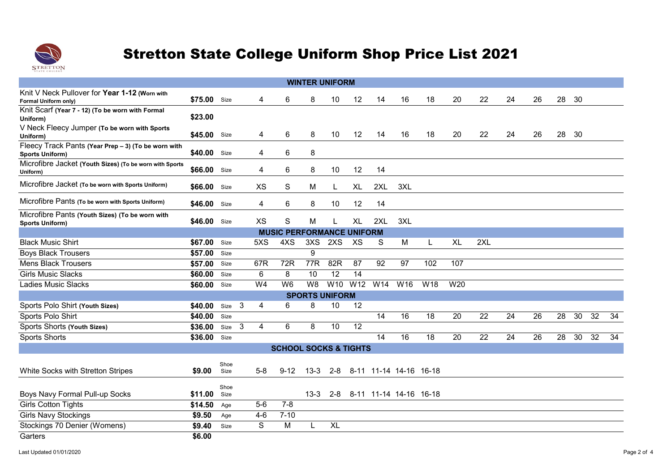

|                                                                               |              |              |   |                |                                  |                | <b>WINTER UNIFORM</b> |           |     |                        |     |           |     |    |    |    |    |    |    |
|-------------------------------------------------------------------------------|--------------|--------------|---|----------------|----------------------------------|----------------|-----------------------|-----------|-----|------------------------|-----|-----------|-----|----|----|----|----|----|----|
|                                                                               |              |              |   |                |                                  |                |                       |           |     |                        |     |           |     |    |    |    |    |    |    |
| Knit V Neck Pullover for Year 1-12 (Worn with<br>Formal Uniform only)         | \$75.00 Size |              |   | 4              | 6                                | 8              | 10                    | 12        | 14  | 16                     | 18  | 20        | 22  | 24 | 26 | 28 | 30 |    |    |
| Knit Scarf (Year 7 - 12) (To be worn with Formal<br>Uniform)                  | \$23.00      |              |   |                |                                  |                |                       |           |     |                        |     |           |     |    |    |    |    |    |    |
| V Neck Fleecy Jumper (To be worn with Sports<br>Uniform)                      | \$45.00      | Size         |   | 4              | 6                                | 8              | 10                    | 12        | 14  | 16                     | 18  | 20        | 22  | 24 | 26 | 28 | 30 |    |    |
| Fleecy Track Pants (Year Prep - 3) (To be worn with<br><b>Sports Uniform)</b> | \$40.00 Size |              |   | 4              | 6                                | 8              |                       |           |     |                        |     |           |     |    |    |    |    |    |    |
| Microfibre Jacket (Youth Sizes) (To be worn with Sports<br>Uniform)           | \$66.00      | Size         |   | 4              | 6                                | 8              | 10                    | 12        | 14  |                        |     |           |     |    |    |    |    |    |    |
| Microfibre Jacket (To be worn with Sports Uniform)                            | \$66.00      | Size         |   | <b>XS</b>      | S                                | M              | L                     | <b>XL</b> | 2XL | 3XL                    |     |           |     |    |    |    |    |    |    |
| Microfibre Pants (To be worn with Sports Uniform)                             | \$46.00 Size |              |   | 4              | 6                                | 8              | 10                    | 12        | 14  |                        |     |           |     |    |    |    |    |    |    |
| Microfibre Pants (Youth Sizes) (To be worn with<br><b>Sports Uniform)</b>     | \$46.00      | Size         |   | <b>XS</b>      | S                                | M              |                       | <b>XL</b> | 2XL | 3XL                    |     |           |     |    |    |    |    |    |    |
|                                                                               |              |              |   |                | <b>MUSIC PERFORMANCE UNIFORM</b> |                |                       |           |     |                        |     |           |     |    |    |    |    |    |    |
| <b>Black Music Shirt</b>                                                      | \$67.00      | Size         |   | 5XS            | 4XS                              | 3XS            | 2XS                   | XS        | S   | M                      | L   | <b>XL</b> | 2XL |    |    |    |    |    |    |
| <b>Boys Black Trousers</b>                                                    | \$57.00      | Size         |   |                |                                  | 9              |                       |           |     |                        |     |           |     |    |    |    |    |    |    |
| <b>Mens Black Trousers</b>                                                    | \$57.00      | Size         |   | 67R            | 72R                              | 77R            | 82R                   | 87        | 92  | 97                     | 102 | 107       |     |    |    |    |    |    |    |
| <b>Girls Music Slacks</b>                                                     | \$60.00      | Size         |   | 6              | 8                                | 10             | 12                    | 14        |     |                        |     |           |     |    |    |    |    |    |    |
| <b>Ladies Music Slacks</b>                                                    | \$60.00      | Size         |   | W <sub>4</sub> | W <sub>6</sub>                   | W <sub>8</sub> | W10                   | W12       | W14 | W16                    | W18 | W20       |     |    |    |    |    |    |    |
|                                                                               |              |              |   |                |                                  |                | <b>SPORTS UNIFORM</b> |           |     |                        |     |           |     |    |    |    |    |    |    |
| Sports Polo Shirt (Youth Sizes)                                               | \$40.00      | Size 3       |   | 4              | 6                                | 8              | 10                    | 12        |     |                        |     |           |     |    |    |    |    |    |    |
| Sports Polo Shirt                                                             | \$40.00      | Size         |   |                |                                  |                |                       |           | 14  | 16                     | 18  | 20        | 22  | 24 | 26 | 28 | 30 | 32 | 34 |
| Sports Shorts (Youth Sizes)                                                   | \$36.00      | Size         | 3 | 4              | 6                                | 8              | 10                    | 12        |     |                        |     |           |     |    |    |    |    |    |    |
| <b>Sports Shorts</b>                                                          | \$36.00      | Size         |   |                |                                  |                |                       |           | 14  | 16                     | 18  | 20        | 22  | 24 | 26 | 28 | 30 | 32 | 34 |
|                                                                               |              |              |   |                | <b>SCHOOL SOCKS &amp; TIGHTS</b> |                |                       |           |     |                        |     |           |     |    |    |    |    |    |    |
|                                                                               |              |              |   |                |                                  |                |                       |           |     |                        |     |           |     |    |    |    |    |    |    |
| White Socks with Stretton Stripes                                             | \$9.00       | Shoe<br>Size |   | $5-8$          | $9 - 12$                         | $13 - 3$       | $2 - 8$               |           |     | 8-11 11-14 14-16 16-18 |     |           |     |    |    |    |    |    |    |
| Boys Navy Formal Pull-up Socks                                                | \$11.00      | Shoe<br>Size |   |                |                                  | $13 - 3$       | $2 - 8$               |           |     | 8-11 11-14 14-16 16-18 |     |           |     |    |    |    |    |    |    |
| <b>Girls Cotton Tights</b>                                                    | \$14.50      | Age          |   | $5-6$          | $7 - 8$                          |                |                       |           |     |                        |     |           |     |    |    |    |    |    |    |
| <b>Girls Navy Stockings</b>                                                   | \$9.50       | Age          |   | $4 - 6$        | $7 - 10$                         |                |                       |           |     |                        |     |           |     |    |    |    |    |    |    |
| Stockings 70 Denier (Womens)                                                  | \$9.40       | Size         |   | S              | M                                | L              | <b>XL</b>             |           |     |                        |     |           |     |    |    |    |    |    |    |
| Garters                                                                       | \$6.00       |              |   |                |                                  |                |                       |           |     |                        |     |           |     |    |    |    |    |    |    |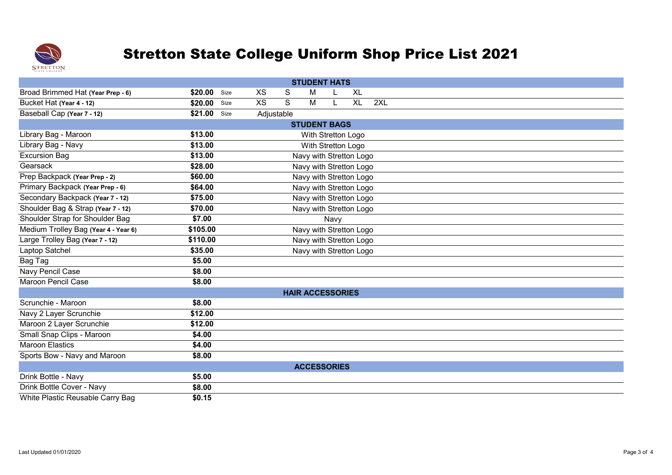

|                                      |              |      |            |   | <b>STUDENT HATS</b>     |      |           |     |  |  |  |
|--------------------------------------|--------------|------|------------|---|-------------------------|------|-----------|-----|--|--|--|
| Broad Brimmed Hat (Year Prep - 6)    | \$20.00 Size |      | <b>XS</b>  | S | м                       |      | <b>XL</b> |     |  |  |  |
| Bucket Hat (Year 4 - 12)             | \$20.00      | Size | <b>XS</b>  | S | M                       |      | <b>XL</b> | 2XL |  |  |  |
| Baseball Cap (Year 7 - 12)           | \$21.00      | Size | Adjustable |   |                         |      |           |     |  |  |  |
|                                      |              |      |            |   | <b>STUDENT BAGS</b>     |      |           |     |  |  |  |
| Library Bag - Maroon                 | \$13.00      |      |            |   | With Stretton Logo      |      |           |     |  |  |  |
| Library Bag - Navy                   | \$13.00      |      |            |   | With Stretton Logo      |      |           |     |  |  |  |
| <b>Excursion Bag</b>                 | \$13.00      |      |            |   | Navy with Stretton Logo |      |           |     |  |  |  |
| Gearsack                             | \$28.00      |      |            |   | Navy with Stretton Logo |      |           |     |  |  |  |
| Prep Backpack (Year Prep - 2)        | \$60.00      |      |            |   | Navy with Stretton Logo |      |           |     |  |  |  |
| Primary Backpack (Year Prep - 6)     | \$64.00      |      |            |   | Navy with Stretton Logo |      |           |     |  |  |  |
| Secondary Backpack (Year 7 - 12)     | \$75.00      |      |            |   | Navy with Stretton Logo |      |           |     |  |  |  |
| Shoulder Bag & Strap (Year 7 - 12)   | \$70.00      |      |            |   | Navy with Stretton Logo |      |           |     |  |  |  |
| Shoulder Strap for Shoulder Bag      | \$7.00       |      |            |   |                         | Navy |           |     |  |  |  |
| Medium Trolley Bag (Year 4 - Year 6) | \$105.00     |      |            |   | Navy with Stretton Logo |      |           |     |  |  |  |
| Large Trolley Bag (Year 7 - 12)      | \$110.00     |      |            |   | Navy with Stretton Logo |      |           |     |  |  |  |
| Laptop Satchel                       | \$35.00      |      |            |   | Navy with Stretton Logo |      |           |     |  |  |  |
| Bag Tag                              | \$5.00       |      |            |   |                         |      |           |     |  |  |  |
| Navy Pencil Case                     | \$8.00       |      |            |   |                         |      |           |     |  |  |  |
| <b>Maroon Pencil Case</b>            | \$8.00       |      |            |   |                         |      |           |     |  |  |  |
|                                      |              |      |            |   | <b>HAIR ACCESSORIES</b> |      |           |     |  |  |  |
| Scrunchie - Maroon                   | \$8.00       |      |            |   |                         |      |           |     |  |  |  |
| Navy 2 Layer Scrunchie               | \$12.00      |      |            |   |                         |      |           |     |  |  |  |
| Maroon 2 Layer Scrunchie             | \$12.00      |      |            |   |                         |      |           |     |  |  |  |
| Small Snap Clips - Maroon            | \$4.00       |      |            |   |                         |      |           |     |  |  |  |
| <b>Maroon Elastics</b>               | \$4.00       |      |            |   |                         |      |           |     |  |  |  |
| Sports Bow - Navy and Maroon         | \$8.00       |      |            |   |                         |      |           |     |  |  |  |
|                                      |              |      |            |   | <b>ACCESSORIES</b>      |      |           |     |  |  |  |
| Drink Bottle - Navy                  | \$5.00       |      |            |   |                         |      |           |     |  |  |  |
| Drink Bottle Cover - Navy            | \$8.00       |      |            |   |                         |      |           |     |  |  |  |
| White Plastic Reusable Carry Bag     | \$0.15       |      |            |   |                         |      |           |     |  |  |  |